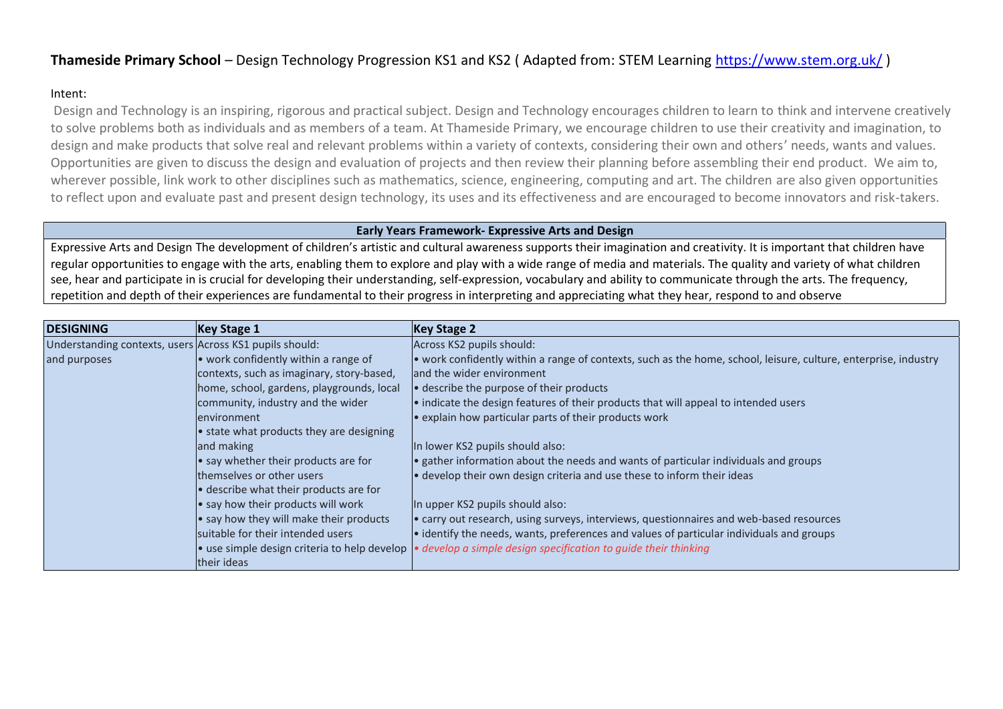## **Thameside Primary School** – Design Technology Progression KS1 and KS2 ( Adapted from: STEM Learning <https://www.stem.org.uk/> )

## Intent:

Design and Technology is an inspiring, rigorous and practical subject. Design and Technology encourages children to learn to think and intervene creatively to solve problems both as individuals and as members of a team. At Thameside Primary, we encourage children to use their creativity and imagination, to design and make products that solve real and relevant problems within a variety of contexts, considering their own and others' needs, wants and values. Opportunities are given to discuss the design and evaluation of projects and then review their planning before assembling their end product. We aim to, wherever possible, link work to other disciplines such as mathematics, science, engineering, computing and art. The children are also given opportunities to reflect upon and evaluate past and present design technology, its uses and its effectiveness and are encouraged to become innovators and risk-takers.

## **Early Years Framework- Expressive Arts and Design**

Expressive Arts and Design The development of children's artistic and cultural awareness supports their imagination and creativity. It is important that children have regular opportunities to engage with the arts, enabling them to explore and play with a wide range of media and materials. The quality and variety of what children see, hear and participate in is crucial for developing their understanding, self-expression, vocabulary and ability to communicate through the arts. The frequency, repetition and depth of their experiences are fundamental to their progress in interpreting and appreciating what they hear, respond to and observe

| <b>DESIGNING</b>                                        | <b>Key Stage 1</b>                        | Key Stage 2                                                                                                          |
|---------------------------------------------------------|-------------------------------------------|----------------------------------------------------------------------------------------------------------------------|
| Understanding contexts, users Across KS1 pupils should: |                                           | Across KS2 pupils should:                                                                                            |
| and purposes                                            | • work confidently within a range of      | • work confidently within a range of contexts, such as the home, school, leisure, culture, enterprise, industry      |
|                                                         | contexts, such as imaginary, story-based, | land the wider environment                                                                                           |
|                                                         | home, school, gardens, playgrounds, local | • describe the purpose of their products                                                                             |
|                                                         | community, industry and the wider         | . indicate the design features of their products that will appeal to intended users                                  |
|                                                         | environment                               | . explain how particular parts of their products work                                                                |
|                                                         | • state what products they are designing  |                                                                                                                      |
|                                                         | and making                                | In lower KS2 pupils should also:                                                                                     |
|                                                         | • say whether their products are for      | • gather information about the needs and wants of particular individuals and groups                                  |
|                                                         | themselves or other users                 | • develop their own design criteria and use these to inform their ideas                                              |
|                                                         | . describe what their products are for    |                                                                                                                      |
|                                                         | • say how their products will work        | In upper KS2 pupils should also:                                                                                     |
|                                                         | • say how they will make their products   | e carry out research, using surveys, interviews, questionnaires and web-based resources                              |
|                                                         | suitable for their intended users         | • identify the needs, wants, preferences and values of particular individuals and groups                             |
|                                                         |                                           | • use simple design criteria to help develop $\bullet$ develop a simple design specification to quide their thinking |
|                                                         | their ideas                               |                                                                                                                      |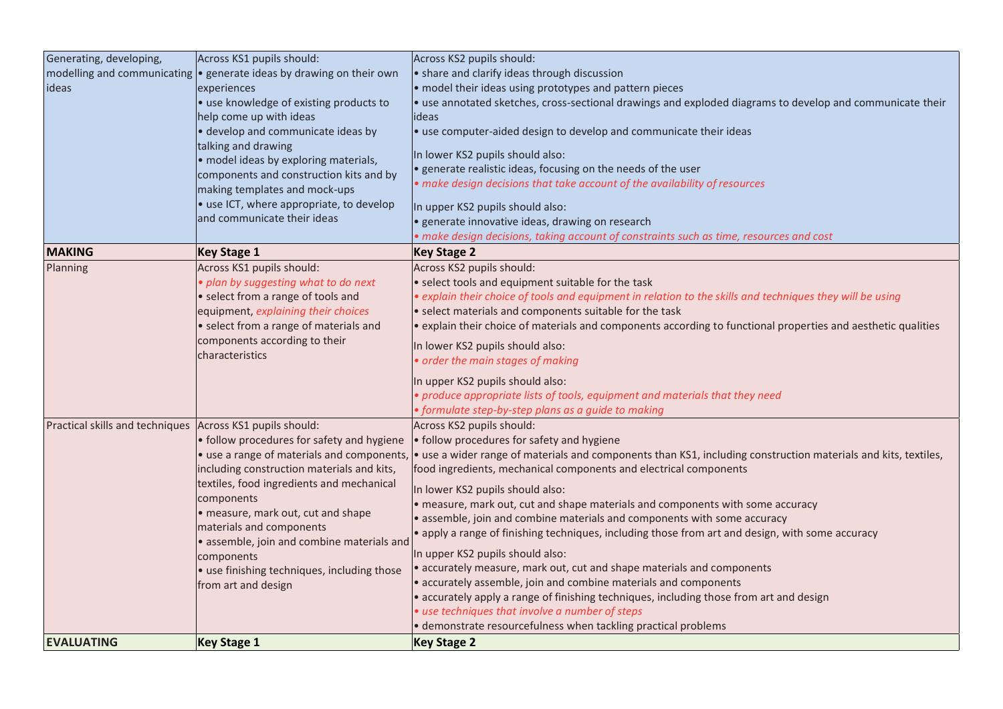| Generating, developing,                                   | Across KS1 pupils should:                                              | Across KS2 pupils should:                                                                                         |
|-----------------------------------------------------------|------------------------------------------------------------------------|-------------------------------------------------------------------------------------------------------------------|
| modelling and communicating                               | • generate ideas by drawing on their own                               | • share and clarify ideas through discussion                                                                      |
| ideas                                                     | experiences                                                            | · model their ideas using prototypes and pattern pieces                                                           |
|                                                           | · use knowledge of existing products to                                | · use annotated sketches, cross-sectional drawings and exploded diagrams to develop and communicate their         |
|                                                           | help come up with ideas                                                | deas                                                                                                              |
|                                                           | · develop and communicate ideas by                                     | · use computer-aided design to develop and communicate their ideas                                                |
|                                                           | talking and drawing                                                    | In lower KS2 pupils should also:                                                                                  |
|                                                           | · model ideas by exploring materials,                                  | generate realistic ideas, focusing on the needs of the user                                                       |
|                                                           | components and construction kits and by                                | make design decisions that take account of the availability of resources                                          |
|                                                           | making templates and mock-ups                                          |                                                                                                                   |
|                                                           | • use ICT, where appropriate, to develop                               | In upper KS2 pupils should also:                                                                                  |
|                                                           | and communicate their ideas                                            | generate innovative ideas, drawing on research                                                                    |
|                                                           |                                                                        | make design decisions, taking account of constraints such as time, resources and cost                             |
| <b>MAKING</b>                                             | <b>Key Stage 1</b>                                                     | <b>Key Stage 2</b>                                                                                                |
| Planning                                                  | Across KS1 pupils should:                                              | Across KS2 pupils should:                                                                                         |
|                                                           | plan by suggesting what to do next                                     | · select tools and equipment suitable for the task                                                                |
|                                                           | • select from a range of tools and                                     | $\bullet$ explain their choice of tools and equipment in relation to the skills and techniques they will be using |
|                                                           | equipment, explaining their choices                                    | • select materials and components suitable for the task                                                           |
|                                                           | · select from a range of materials and                                 | · explain their choice of materials and components according to functional properties and aesthetic qualities     |
|                                                           | components according to their                                          | In lower KS2 pupils should also:                                                                                  |
|                                                           | characteristics                                                        | order the main stages of making                                                                                   |
|                                                           |                                                                        |                                                                                                                   |
|                                                           |                                                                        | In upper KS2 pupils should also:                                                                                  |
|                                                           |                                                                        | produce appropriate lists of tools, equipment and materials that they need                                        |
|                                                           |                                                                        | formulate step-by-step plans as a guide to making                                                                 |
| Practical skills and techniques Across KS1 pupils should: |                                                                        | Across KS2 pupils should:                                                                                         |
|                                                           | • follow procedures for safety and hygiene                             | · follow procedures for safety and hygiene                                                                        |
|                                                           | • use a range of materials and components,                             | · use a wider range of materials and components than KS1, including construction materials and kits, textiles,    |
|                                                           | including construction materials and kits,                             | food ingredients, mechanical components and electrical components                                                 |
|                                                           | textiles, food ingredients and mechanical                              | In lower KS2 pupils should also:                                                                                  |
|                                                           | components                                                             | measure, mark out, cut and shape materials and components with some accuracy                                      |
|                                                           | · measure, mark out, cut and shape                                     | assemble, join and combine materials and components with some accuracy                                            |
|                                                           | materials and components<br>· assemble, join and combine materials and | apply a range of finishing techniques, including those from art and design, with some accuracy of                 |
|                                                           | components                                                             | In upper KS2 pupils should also:                                                                                  |
|                                                           | • use finishing techniques, including those                            | accurately measure, mark out, cut and shape materials and components                                              |
|                                                           | from art and design                                                    | accurately assemble, join and combine materials and components                                                    |
|                                                           |                                                                        | accurately apply a range of finishing techniques, including those from art and design                             |
|                                                           |                                                                        | use techniques that involve a number of steps                                                                     |
|                                                           |                                                                        | demonstrate resourcefulness when tackling practical problems                                                      |
| <b>EVALUATING</b>                                         | <b>Key Stage 1</b>                                                     | <b>Key Stage 2</b>                                                                                                |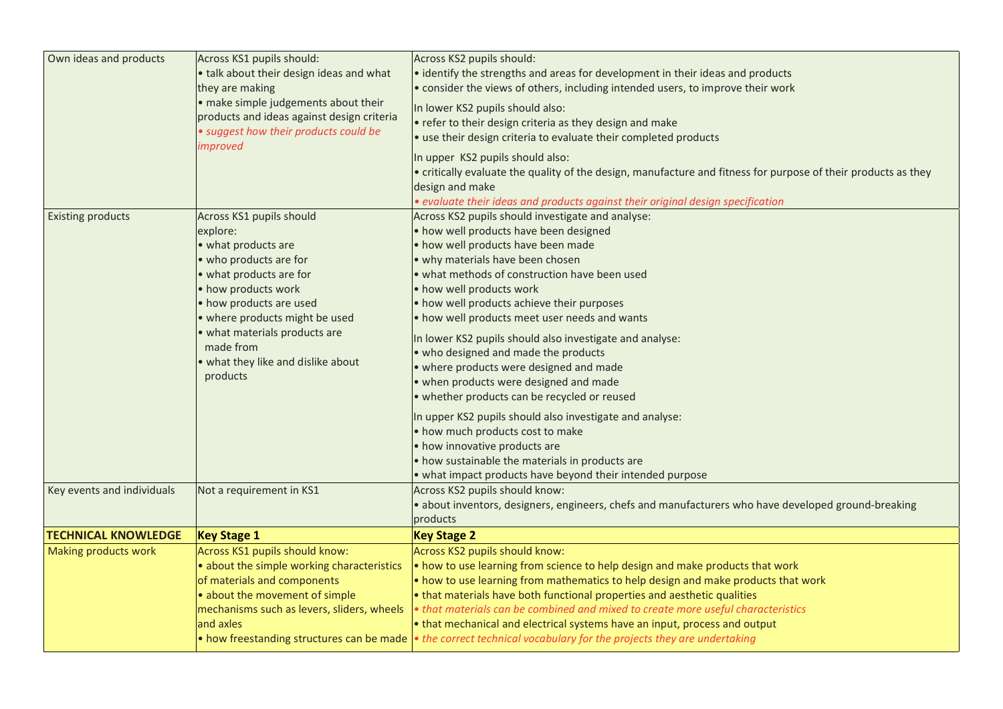| Own ideas and products     | Across KS1 pupils should:<br>• talk about their design ideas and what<br>they are making<br>• make simple judgements about their<br>products and ideas against design criteria<br>· suggest how their products could be                                                                              | Across KS2 pupils should:<br>· identify the strengths and areas for development in their ideas and products<br>. consider the views of others, including intended users, to improve their work<br>In lower KS2 pupils should also:<br>• refer to their design criteria as they design and make<br>ouse their design criteria to evaluate their completed products                                                                                                                                                                                                                                                                                                                                                                                                                                                                           |
|----------------------------|------------------------------------------------------------------------------------------------------------------------------------------------------------------------------------------------------------------------------------------------------------------------------------------------------|---------------------------------------------------------------------------------------------------------------------------------------------------------------------------------------------------------------------------------------------------------------------------------------------------------------------------------------------------------------------------------------------------------------------------------------------------------------------------------------------------------------------------------------------------------------------------------------------------------------------------------------------------------------------------------------------------------------------------------------------------------------------------------------------------------------------------------------------|
|                            | improved                                                                                                                                                                                                                                                                                             | In upper KS2 pupils should also:<br>• critically evaluate the quality of the design, manufacture and fitness for purpose of their products as they<br>design and make<br>· evaluate their ideas and products against their original design specification                                                                                                                                                                                                                                                                                                                                                                                                                                                                                                                                                                                    |
| <b>Existing products</b>   | Across KS1 pupils should<br>explore:<br>• what products are<br>• who products are for<br>• what products are for<br>• how products work<br>• how products are used<br>• where products might be used<br>• what materials products are<br>made from<br>. what they like and dislike about<br>products | Across KS2 pupils should investigate and analyse:<br>• how well products have been designed<br>• how well products have been made<br>• why materials have been chosen<br>. what methods of construction have been used<br>• how well products work<br>• how well products achieve their purposes<br>. how well products meet user needs and wants<br>In lower KS2 pupils should also investigate and analyse:<br>• who designed and made the products<br>• where products were designed and made<br>• when products were designed and made<br>· whether products can be recycled or reused<br>In upper KS2 pupils should also investigate and analyse:<br>• how much products cost to make<br>• how innovative products are<br>• how sustainable the materials in products are<br>• what impact products have beyond their intended purpose |
| Key events and individuals | Not a requirement in KS1                                                                                                                                                                                                                                                                             | Across KS2 pupils should know:<br>· about inventors, designers, engineers, chefs and manufacturers who have developed ground-breaking<br>products                                                                                                                                                                                                                                                                                                                                                                                                                                                                                                                                                                                                                                                                                           |
| <b>TECHNICAL KNOWLEDGE</b> | <b>Key Stage 1</b>                                                                                                                                                                                                                                                                                   | <b>Key Stage 2</b>                                                                                                                                                                                                                                                                                                                                                                                                                                                                                                                                                                                                                                                                                                                                                                                                                          |
| Making products work       | Across KS1 pupils should know:<br>• about the simple working characteristics<br>of materials and components<br>• about the movement of simple<br>mechanisms such as levers, sliders, wheels<br>and axles                                                                                             | Across KS2 pupils should know:<br>• how to use learning from science to help design and make products that work<br>. how to use learning from mathematics to help design and make products that work<br>• that materials have both functional properties and aesthetic qualities<br>• that materials can be combined and mixed to create more useful characteristics<br>• that mechanical and electrical systems have an input, process and output<br>• how freestanding structures can be made • the correct technical vocabulary for the projects they are undertaking                                                                                                                                                                                                                                                                    |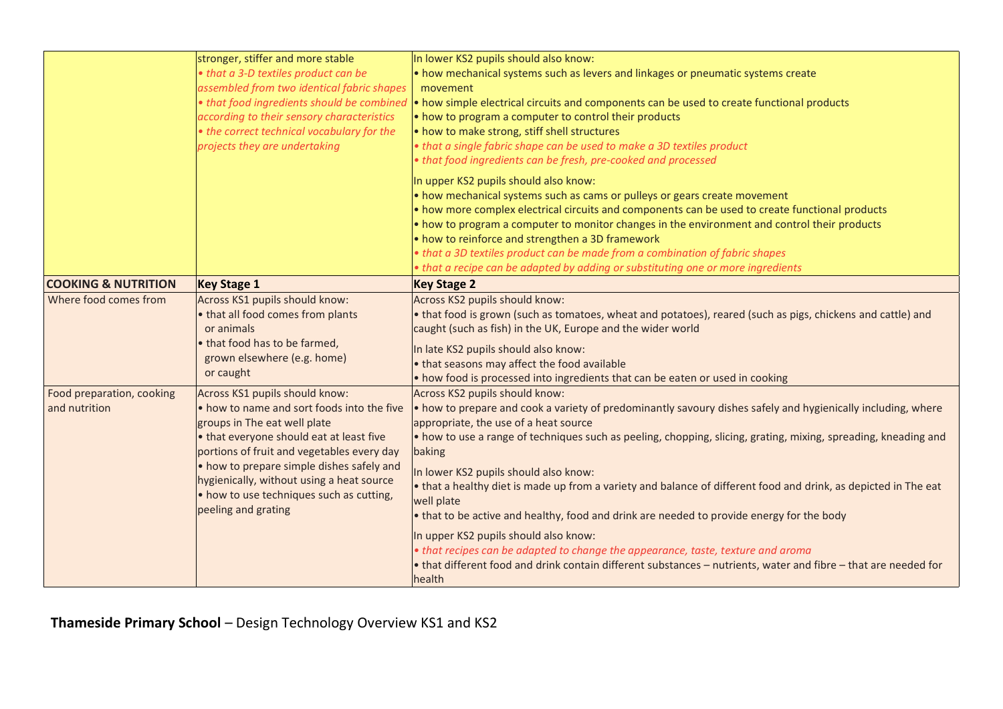|                                            | stronger, stiffer and more stable<br>• that a 3-D textiles product can be<br>assembled from two identical fabric shapes<br>• that food ingredients should be combined<br>according to their sensory characteristics<br>• the correct technical vocabulary for the<br>projects they are undertaking                                                                  | In lower KS2 pupils should also know:<br>. how mechanical systems such as levers and linkages or pneumatic systems create<br>movement<br>• how simple electrical circuits and components can be used to create functional products<br>• how to program a computer to control their products<br>• how to make strong, stiff shell structures<br>. that a single fabric shape can be used to make a 3D textiles product<br>• that food ingredients can be fresh, pre-cooked and processed<br>In upper KS2 pupils should also know:<br>• how mechanical systems such as cams or pulleys or gears create movement<br>. how more complex electrical circuits and components can be used to create functional products<br>. how to program a computer to monitor changes in the environment and control their products<br>• how to reinforce and strengthen a 3D framework<br>• that a 3D textiles product can be made from a combination of fabric shapes |
|--------------------------------------------|---------------------------------------------------------------------------------------------------------------------------------------------------------------------------------------------------------------------------------------------------------------------------------------------------------------------------------------------------------------------|------------------------------------------------------------------------------------------------------------------------------------------------------------------------------------------------------------------------------------------------------------------------------------------------------------------------------------------------------------------------------------------------------------------------------------------------------------------------------------------------------------------------------------------------------------------------------------------------------------------------------------------------------------------------------------------------------------------------------------------------------------------------------------------------------------------------------------------------------------------------------------------------------------------------------------------------------|
|                                            |                                                                                                                                                                                                                                                                                                                                                                     | that a recipe can be adapted by adding or substituting one or more ingredients                                                                                                                                                                                                                                                                                                                                                                                                                                                                                                                                                                                                                                                                                                                                                                                                                                                                       |
| <b>COOKING &amp; NUTRITION</b>             | <b>Key Stage 1</b>                                                                                                                                                                                                                                                                                                                                                  | <b>Key Stage 2</b>                                                                                                                                                                                                                                                                                                                                                                                                                                                                                                                                                                                                                                                                                                                                                                                                                                                                                                                                   |
| Where food comes from                      | Across KS1 pupils should know:<br>• that all food comes from plants<br>or animals<br>• that food has to be farmed,<br>grown elsewhere (e.g. home)<br>or caught                                                                                                                                                                                                      | Across KS2 pupils should know:<br>. that food is grown (such as tomatoes, wheat and potatoes), reared (such as pigs, chickens and cattle) and<br>caught (such as fish) in the UK, Europe and the wider world<br>In late KS2 pupils should also know:<br>that seasons may affect the food available<br>. how food is processed into ingredients that can be eaten or used in cooking                                                                                                                                                                                                                                                                                                                                                                                                                                                                                                                                                                  |
| Food preparation, cooking<br>and nutrition | Across KS1 pupils should know:<br>. how to name and sort foods into the five<br>groups in The eat well plate<br>• that everyone should eat at least five<br>portions of fruit and vegetables every day<br>• how to prepare simple dishes safely and<br>hygienically, without using a heat source<br>• how to use techniques such as cutting,<br>peeling and grating | Across KS2 pupils should know:<br>. how to prepare and cook a variety of predominantly savoury dishes safely and hygienically including, where<br>appropriate, the use of a heat source<br>• how to use a range of techniques such as peeling, chopping, slicing, grating, mixing, spreading, kneading and<br>baking<br>In lower KS2 pupils should also know:<br>• that a healthy diet is made up from a variety and balance of different food and drink, as depicted in The eat<br>well plate<br>• that to be active and healthy, food and drink are needed to provide energy for the body<br>In upper KS2 pupils should also know:<br>• that recipes can be adapted to change the appearance, taste, texture and aroma<br>• that different food and drink contain different substances – nutrients, water and fibre – that are needed for<br>health                                                                                                |

**Thameside Primary School** – Design Technology Overview KS1 and KS2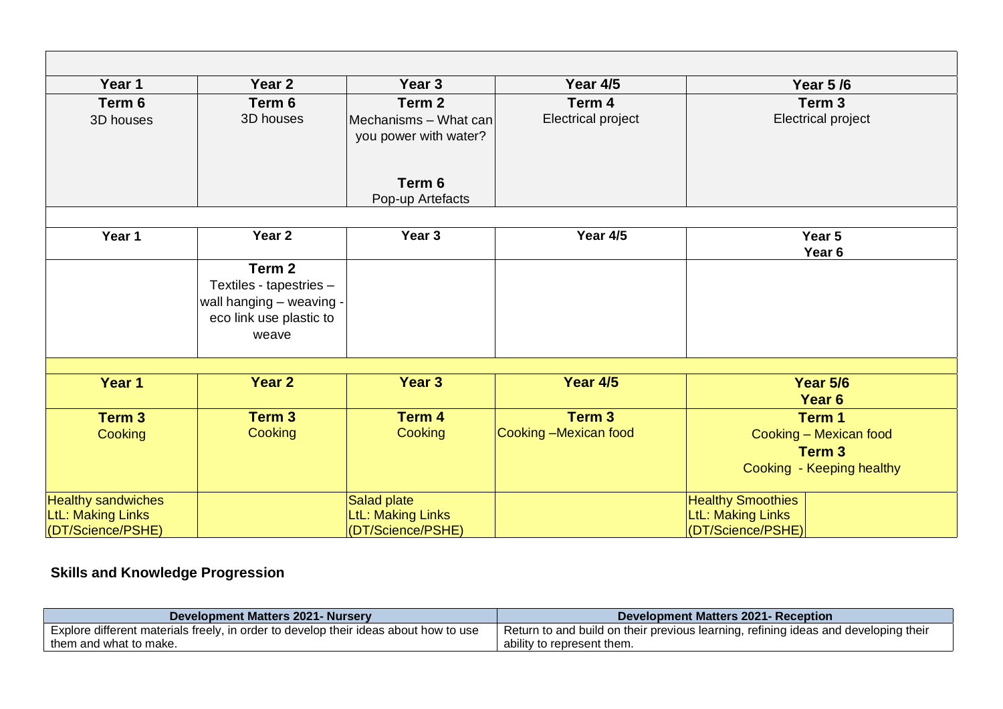| Year 1                    | Year 2                           | Year <sub>3</sub>                              | Year 4/5                  | <b>Year 5/6</b>                      |
|---------------------------|----------------------------------|------------------------------------------------|---------------------------|--------------------------------------|
| Term 6                    | Term 6                           | Term <sub>2</sub>                              | Term 4                    | Term 3                               |
| 3D houses                 | 3D houses                        | Mechanisms - What can<br>you power with water? | <b>Electrical project</b> | Electrical project                   |
|                           |                                  | Term 6<br>Pop-up Artefacts                     |                           |                                      |
| Year 1                    | Year <sub>2</sub>                | Year <sub>3</sub>                              | Year 4/5                  | Year 5                               |
|                           |                                  |                                                |                           | Year <sub>6</sub>                    |
|                           | Term 2                           |                                                |                           |                                      |
|                           | Textiles - tapestries -          |                                                |                           |                                      |
|                           | wall hanging - weaving -         |                                                |                           |                                      |
|                           | eco link use plastic to<br>weave |                                                |                           |                                      |
|                           |                                  |                                                |                           |                                      |
| Year 1                    | Year 2                           | Year 3                                         | <b>Year 4/5</b>           | <b>Year 5/6</b><br>Year <sub>6</sub> |
| Term 3                    | Term 3                           | Term 4                                         | Term 3                    | Term 1                               |
| Cooking                   | Cooking                          | Cooking                                        | Cooking -Mexican food     | Cooking - Mexican food               |
|                           |                                  |                                                |                           | Term 3                               |
|                           |                                  |                                                |                           | Cooking - Keeping healthy            |
| <b>Healthy sandwiches</b> |                                  | Salad plate                                    |                           | <b>Healthy Smoothies</b>             |
| <b>LtL: Making Links</b>  |                                  | <b>LtL: Making Links</b>                       |                           | <b>LtL: Making Links</b>             |
| (DT/Science/PSHE)         |                                  | (DT/Science/PSHE)                              |                           | (DT/Science/PSHE)                    |

## **Skills and Knowledge Progression**

| <b>Development Matters 2021- Nursery</b>                                             | Development Matters 2021- Reception                                                 |
|--------------------------------------------------------------------------------------|-------------------------------------------------------------------------------------|
| Explore different materials freely, in order to develop their ideas about how to use | Return to and build on their previous learning, refining ideas and developing their |
| them and what to make.                                                               | ability to represent them.                                                          |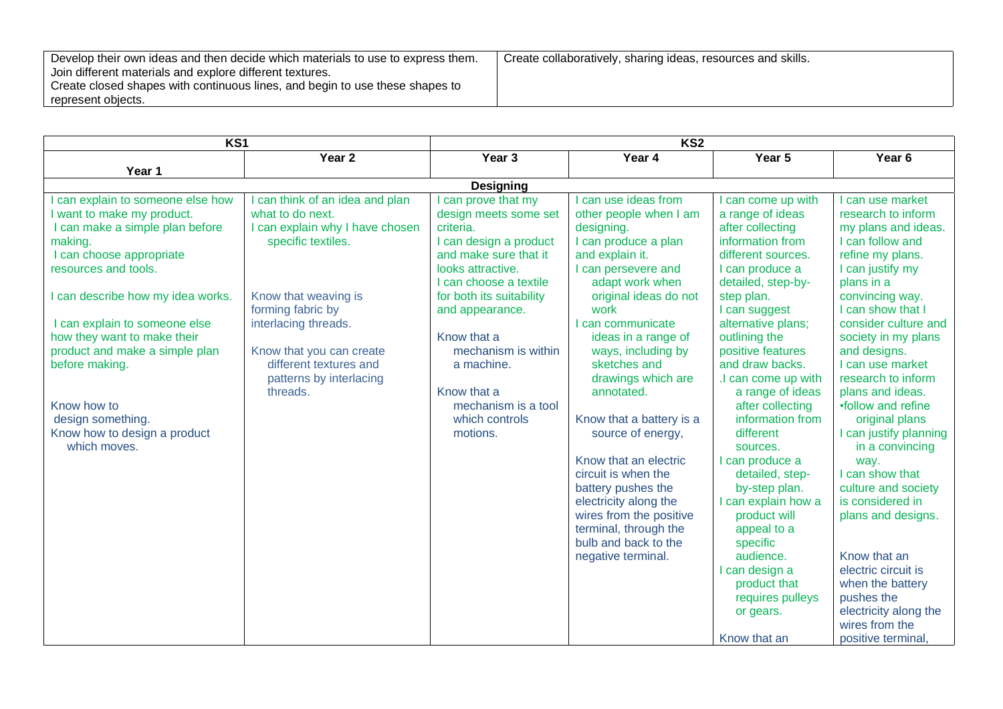| Develop their own ideas and then decide which materials to use to express them. | Create collaboratively, sharing ideas, resources and skills. |
|---------------------------------------------------------------------------------|--------------------------------------------------------------|
| Join different materials and explore different textures.                        |                                                              |
| Create closed shapes with continuous lines, and begin to use these shapes to    |                                                              |
| represent objects.                                                              |                                                              |

| KS <sub>1</sub>                                                                                                                                                                                                                                                                                                                                                                                              |                                                                                                                                                                                                                                                                              | KS <sub>2</sub>                                                                                                                                                                                                                                                                                                                  |                                                                                                                                                                                                                                                                                                                                                                                                                                                                                                                                                        |                                                                                                                                                                                                                                                                                                                                                                                                                                                                                                                                                                                  |                                                                                                                                                                                                                                                                                                                                                                                                                                                                                                                                                                                                                   |
|--------------------------------------------------------------------------------------------------------------------------------------------------------------------------------------------------------------------------------------------------------------------------------------------------------------------------------------------------------------------------------------------------------------|------------------------------------------------------------------------------------------------------------------------------------------------------------------------------------------------------------------------------------------------------------------------------|----------------------------------------------------------------------------------------------------------------------------------------------------------------------------------------------------------------------------------------------------------------------------------------------------------------------------------|--------------------------------------------------------------------------------------------------------------------------------------------------------------------------------------------------------------------------------------------------------------------------------------------------------------------------------------------------------------------------------------------------------------------------------------------------------------------------------------------------------------------------------------------------------|----------------------------------------------------------------------------------------------------------------------------------------------------------------------------------------------------------------------------------------------------------------------------------------------------------------------------------------------------------------------------------------------------------------------------------------------------------------------------------------------------------------------------------------------------------------------------------|-------------------------------------------------------------------------------------------------------------------------------------------------------------------------------------------------------------------------------------------------------------------------------------------------------------------------------------------------------------------------------------------------------------------------------------------------------------------------------------------------------------------------------------------------------------------------------------------------------------------|
|                                                                                                                                                                                                                                                                                                                                                                                                              | Year <sub>2</sub>                                                                                                                                                                                                                                                            | Year <sub>3</sub>                                                                                                                                                                                                                                                                                                                | Year 4                                                                                                                                                                                                                                                                                                                                                                                                                                                                                                                                                 | Year 5                                                                                                                                                                                                                                                                                                                                                                                                                                                                                                                                                                           | Year <sub>6</sub>                                                                                                                                                                                                                                                                                                                                                                                                                                                                                                                                                                                                 |
| Year 1                                                                                                                                                                                                                                                                                                                                                                                                       |                                                                                                                                                                                                                                                                              |                                                                                                                                                                                                                                                                                                                                  |                                                                                                                                                                                                                                                                                                                                                                                                                                                                                                                                                        |                                                                                                                                                                                                                                                                                                                                                                                                                                                                                                                                                                                  |                                                                                                                                                                                                                                                                                                                                                                                                                                                                                                                                                                                                                   |
|                                                                                                                                                                                                                                                                                                                                                                                                              |                                                                                                                                                                                                                                                                              | <b>Designing</b>                                                                                                                                                                                                                                                                                                                 |                                                                                                                                                                                                                                                                                                                                                                                                                                                                                                                                                        |                                                                                                                                                                                                                                                                                                                                                                                                                                                                                                                                                                                  |                                                                                                                                                                                                                                                                                                                                                                                                                                                                                                                                                                                                                   |
| can explain to someone else how<br>I want to make my product.<br>I can make a simple plan before<br>making.<br>I can choose appropriate<br>resources and tools.<br>I can describe how my idea works.<br>I can explain to someone else<br>how they want to make their<br>product and make a simple plan<br>before making.<br>Know how to<br>design something.<br>Know how to design a product<br>which moves. | can think of an idea and plan<br>what to do next.<br>I can explain why I have chosen<br>specific textiles.<br>Know that weaving is<br>forming fabric by<br>interlacing threads.<br>Know that you can create<br>different textures and<br>patterns by interlacing<br>threads. | can prove that my<br>design meets some set<br>criteria.<br>I can design a product<br>and make sure that it<br>looks attractive.<br>I can choose a textile<br>for both its suitability<br>and appearance.<br>Know that a<br>mechanism is within<br>a machine.<br>Know that a<br>mechanism is a tool<br>which controls<br>motions. | can use ideas from<br>other people when I am<br>designing.<br>I can produce a plan<br>and explain it.<br>I can persevere and<br>adapt work when<br>original ideas do not<br>work<br>can communicate<br>ideas in a range of<br>ways, including by<br>sketches and<br>drawings which are<br>annotated.<br>Know that a battery is a<br>source of energy,<br>Know that an electric<br>circuit is when the<br>battery pushes the<br>electricity along the<br>wires from the positive<br>terminal, through the<br>bulb and back to the<br>negative terminal. | I can come up with<br>a range of ideas<br>after collecting<br>information from<br>different sources.<br>I can produce a<br>detailed, step-by-<br>step plan.<br>I can suggest<br>alternative plans;<br>outlining the<br>positive features<br>and draw backs.<br>.I can come up with<br>a range of ideas<br>after collecting<br>information from<br>different<br>sources.<br>I can produce a<br>detailed, step-<br>by-step plan.<br>I can explain how a<br>product will<br>appeal to a<br>specific<br>audience.<br>I can design a<br>product that<br>requires pulleys<br>or gears. | I can use market<br>research to inform<br>my plans and ideas.<br>I can follow and<br>refine my plans.<br>I can justify my<br>plans in a<br>convincing way.<br>I can show that I<br>consider culture and<br>society in my plans<br>and designs.<br>I can use market<br>research to inform<br>plans and ideas.<br>•follow and refine<br>original plans<br>I can justify planning<br>in a convincing<br>way.<br>I can show that<br>culture and society<br>is considered in<br>plans and designs.<br>Know that an<br>electric circuit is<br>when the battery<br>pushes the<br>electricity along the<br>wires from the |
|                                                                                                                                                                                                                                                                                                                                                                                                              |                                                                                                                                                                                                                                                                              |                                                                                                                                                                                                                                                                                                                                  |                                                                                                                                                                                                                                                                                                                                                                                                                                                                                                                                                        | Know that an                                                                                                                                                                                                                                                                                                                                                                                                                                                                                                                                                                     | positive terminal.                                                                                                                                                                                                                                                                                                                                                                                                                                                                                                                                                                                                |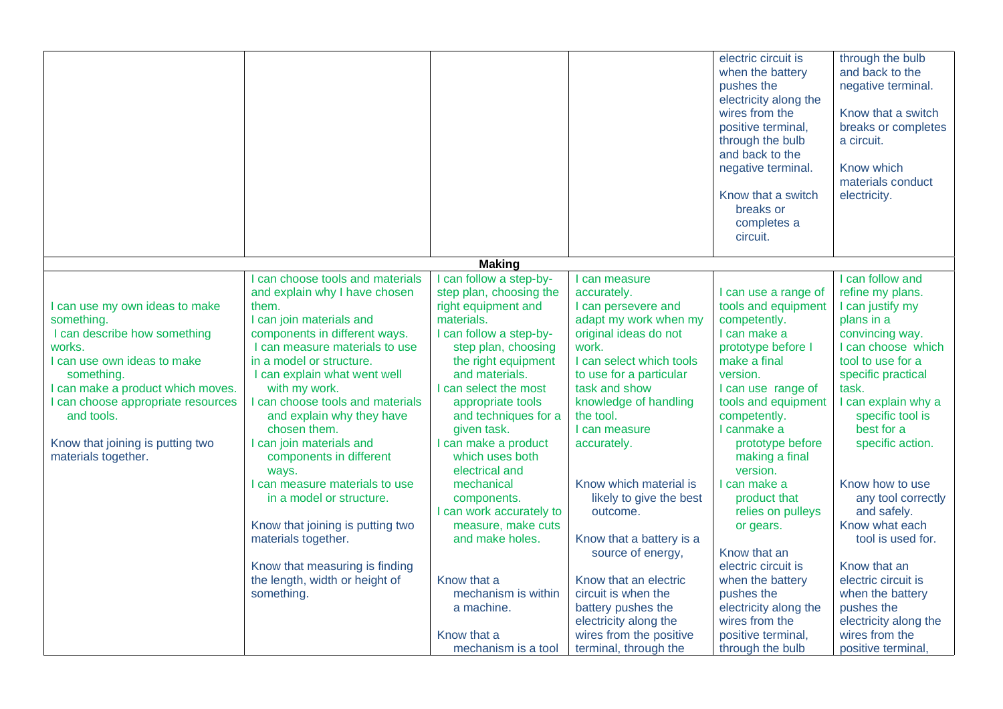|                                                                                                                                                                                                                                                                                       |                                                                                                                                                                                                                                                                                                                                                                                                                                                                                                                                                                                                                |                                                                                                                                                                                                                                                                                                                                                                                                                                                                                                           |                                                                                                                                                                                                                                                                                                                                                                                                                                                                                                          | electric circuit is<br>when the battery<br>pushes the<br>electricity along the<br>wires from the<br>positive terminal,<br>through the bulb<br>and back to the<br>negative terminal.<br>Know that a switch<br>breaks or<br>completes a<br>circuit.                                                                                                                                                                                                                       | through the bulb<br>and back to the<br>negative terminal.<br>Know that a switch<br>breaks or completes<br>a circuit.<br>Know which<br>materials conduct<br>electricity.                                                                                                                                                                                                                                                                                             |
|---------------------------------------------------------------------------------------------------------------------------------------------------------------------------------------------------------------------------------------------------------------------------------------|----------------------------------------------------------------------------------------------------------------------------------------------------------------------------------------------------------------------------------------------------------------------------------------------------------------------------------------------------------------------------------------------------------------------------------------------------------------------------------------------------------------------------------------------------------------------------------------------------------------|-----------------------------------------------------------------------------------------------------------------------------------------------------------------------------------------------------------------------------------------------------------------------------------------------------------------------------------------------------------------------------------------------------------------------------------------------------------------------------------------------------------|----------------------------------------------------------------------------------------------------------------------------------------------------------------------------------------------------------------------------------------------------------------------------------------------------------------------------------------------------------------------------------------------------------------------------------------------------------------------------------------------------------|-------------------------------------------------------------------------------------------------------------------------------------------------------------------------------------------------------------------------------------------------------------------------------------------------------------------------------------------------------------------------------------------------------------------------------------------------------------------------|---------------------------------------------------------------------------------------------------------------------------------------------------------------------------------------------------------------------------------------------------------------------------------------------------------------------------------------------------------------------------------------------------------------------------------------------------------------------|
|                                                                                                                                                                                                                                                                                       |                                                                                                                                                                                                                                                                                                                                                                                                                                                                                                                                                                                                                | <b>Making</b>                                                                                                                                                                                                                                                                                                                                                                                                                                                                                             |                                                                                                                                                                                                                                                                                                                                                                                                                                                                                                          |                                                                                                                                                                                                                                                                                                                                                                                                                                                                         |                                                                                                                                                                                                                                                                                                                                                                                                                                                                     |
| I can use my own ideas to make<br>something.<br>I can describe how something<br>works.<br>I can use own ideas to make<br>something.<br>I can make a product which moves.<br>can choose appropriate resources<br>and tools.<br>Know that joining is putting two<br>materials together. | can choose tools and materials<br>and explain why I have chosen<br>them.<br>I can join materials and<br>components in different ways.<br>I can measure materials to use<br>in a model or structure.<br>I can explain what went well<br>with my work.<br>I can choose tools and materials<br>and explain why they have<br>chosen them.<br>I can join materials and<br>components in different<br>ways.<br>can measure materials to use<br>in a model or structure.<br>Know that joining is putting two<br>materials together.<br>Know that measuring is finding<br>the length, width or height of<br>something. | I can follow a step-by-<br>step plan, choosing the<br>right equipment and<br>materials.<br>I can follow a step-by-<br>step plan, choosing<br>the right equipment<br>and materials.<br>I can select the most<br>appropriate tools<br>and techniques for a<br>given task.<br>I can make a product<br>which uses both<br>electrical and<br>mechanical<br>components.<br>I can work accurately to<br>measure, make cuts<br>and make holes.<br>Know that a<br>mechanism is within<br>a machine.<br>Know that a | I can measure<br>accurately.<br>I can persevere and<br>adapt my work when my<br>original ideas do not<br>work.<br>I can select which tools<br>to use for a particular<br>task and show<br>knowledge of handling<br>the tool.<br>I can measure<br>accurately.<br>Know which material is<br>likely to give the best<br>outcome.<br>Know that a battery is a<br>source of energy,<br>Know that an electric<br>circuit is when the<br>battery pushes the<br>electricity along the<br>wires from the positive | I can use a range of<br>tools and equipment<br>competently.<br>I can make a<br>prototype before I<br>make a final<br>version.<br>I can use range of<br>tools and equipment<br>competently.<br>I canmake a<br>prototype before<br>making a final<br>version.<br>I can make a<br>product that<br>relies on pulleys<br>or gears.<br>Know that an<br>electric circuit is<br>when the battery<br>pushes the<br>electricity along the<br>wires from the<br>positive terminal, | I can follow and<br>refine my plans.<br>I can justify my<br>plans in a<br>convincing way.<br>I can choose which<br>tool to use for a<br>specific practical<br>task.<br>I can explain why a<br>specific tool is<br>best for a<br>specific action.<br>Know how to use<br>any tool correctly<br>and safely.<br>Know what each<br>tool is used for.<br>Know that an<br>electric circuit is<br>when the battery<br>pushes the<br>electricity along the<br>wires from the |
|                                                                                                                                                                                                                                                                                       |                                                                                                                                                                                                                                                                                                                                                                                                                                                                                                                                                                                                                | mechanism is a tool                                                                                                                                                                                                                                                                                                                                                                                                                                                                                       | terminal, through the                                                                                                                                                                                                                                                                                                                                                                                                                                                                                    | through the bulb                                                                                                                                                                                                                                                                                                                                                                                                                                                        | positive terminal                                                                                                                                                                                                                                                                                                                                                                                                                                                   |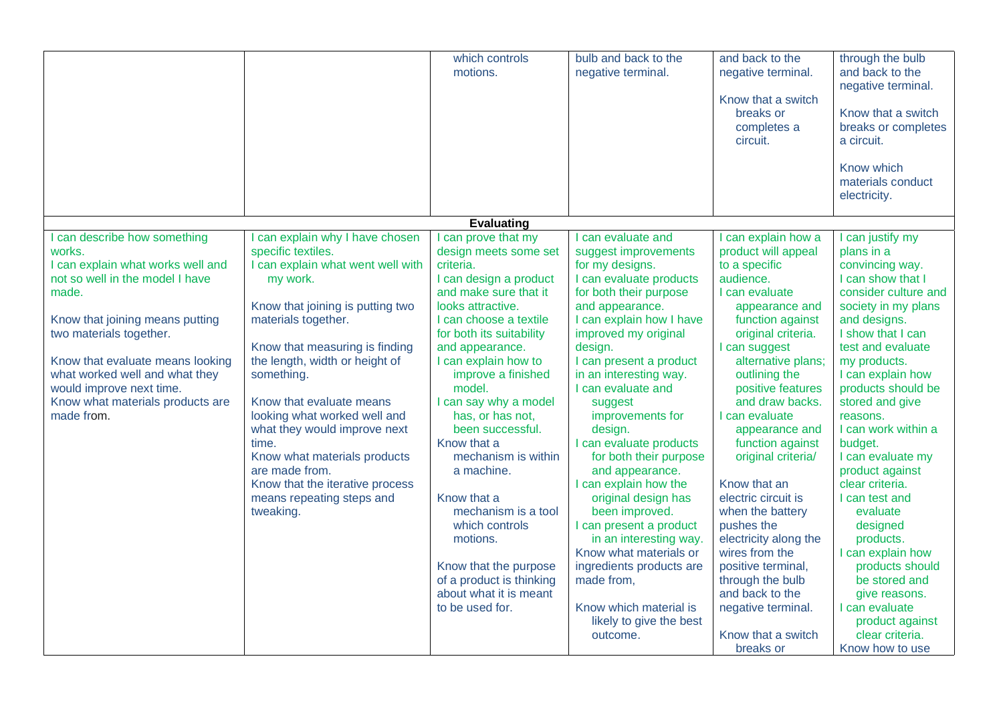|                                                                                                                                                                                                                                                                                                                                           |                                                                                                                                                                                                                                                                                                                                                                                                                                                                                         | which controls<br>motions.                                                                                                                                                                                                                                                                                                                                                                                                                                                                                                                                    | bulb and back to the<br>negative terminal.                                                                                                                                                                                                                                                                                                                                                                                                                                                                                                                                                                                                                    | and back to the<br>negative terminal.<br>Know that a switch<br>breaks or<br>completes a<br>circuit.                                                                                                                                                                                                                                                                                                                                                                                                                                                                            | through the bulb<br>and back to the<br>negative terminal.<br>Know that a switch<br>breaks or completes<br>a circuit.<br>Know which<br>materials conduct<br>electricity.                                                                                                                                                                                                                                                                                                                                                                                                            |
|-------------------------------------------------------------------------------------------------------------------------------------------------------------------------------------------------------------------------------------------------------------------------------------------------------------------------------------------|-----------------------------------------------------------------------------------------------------------------------------------------------------------------------------------------------------------------------------------------------------------------------------------------------------------------------------------------------------------------------------------------------------------------------------------------------------------------------------------------|---------------------------------------------------------------------------------------------------------------------------------------------------------------------------------------------------------------------------------------------------------------------------------------------------------------------------------------------------------------------------------------------------------------------------------------------------------------------------------------------------------------------------------------------------------------|---------------------------------------------------------------------------------------------------------------------------------------------------------------------------------------------------------------------------------------------------------------------------------------------------------------------------------------------------------------------------------------------------------------------------------------------------------------------------------------------------------------------------------------------------------------------------------------------------------------------------------------------------------------|--------------------------------------------------------------------------------------------------------------------------------------------------------------------------------------------------------------------------------------------------------------------------------------------------------------------------------------------------------------------------------------------------------------------------------------------------------------------------------------------------------------------------------------------------------------------------------|------------------------------------------------------------------------------------------------------------------------------------------------------------------------------------------------------------------------------------------------------------------------------------------------------------------------------------------------------------------------------------------------------------------------------------------------------------------------------------------------------------------------------------------------------------------------------------|
|                                                                                                                                                                                                                                                                                                                                           |                                                                                                                                                                                                                                                                                                                                                                                                                                                                                         | <b>Evaluating</b>                                                                                                                                                                                                                                                                                                                                                                                                                                                                                                                                             |                                                                                                                                                                                                                                                                                                                                                                                                                                                                                                                                                                                                                                                               |                                                                                                                                                                                                                                                                                                                                                                                                                                                                                                                                                                                |                                                                                                                                                                                                                                                                                                                                                                                                                                                                                                                                                                                    |
| I can describe how something<br>works.<br>I can explain what works well and<br>not so well in the model I have<br>made.<br>Know that joining means putting<br>two materials together.<br>Know that evaluate means looking<br>what worked well and what they<br>would improve next time.<br>Know what materials products are<br>made from. | I can explain why I have chosen<br>specific textiles.<br>I can explain what went well with<br>my work.<br>Know that joining is putting two<br>materials together.<br>Know that measuring is finding<br>the length, width or height of<br>something.<br>Know that evaluate means<br>looking what worked well and<br>what they would improve next<br>time.<br>Know what materials products<br>are made from.<br>Know that the iterative process<br>means repeating steps and<br>tweaking. | I can prove that my<br>design meets some set<br>criteria.<br>I can design a product<br>and make sure that it<br>looks attractive.<br>I can choose a textile<br>for both its suitability<br>and appearance.<br>I can explain how to<br>improve a finished<br>model.<br>I can say why a model<br>has, or has not,<br>been successful.<br>Know that a<br>mechanism is within<br>a machine.<br>Know that a<br>mechanism is a tool<br>which controls<br>motions.<br>Know that the purpose<br>of a product is thinking<br>about what it is meant<br>to be used for. | I can evaluate and<br>suggest improvements<br>for my designs.<br>I can evaluate products<br>for both their purpose<br>and appearance.<br>I can explain how I have<br>improved my original<br>design.<br>I can present a product<br>in an interesting way.<br>I can evaluate and<br>suggest<br>improvements for<br>design.<br>I can evaluate products<br>for both their purpose<br>and appearance.<br>I can explain how the<br>original design has<br>been improved.<br>I can present a product<br>in an interesting way.<br>Know what materials or<br>ingredients products are<br>made from,<br>Know which material is<br>likely to give the best<br>outcome. | I can explain how a<br>product will appeal<br>to a specific<br>audience.<br>I can evaluate<br>appearance and<br>function against<br>original criteria.<br>I can suggest<br>alternative plans;<br>outlining the<br>positive features<br>and draw backs.<br>I can evaluate<br>appearance and<br>function against<br>original criteria/<br>Know that an<br>electric circuit is<br>when the battery<br>pushes the<br>electricity along the<br>wires from the<br>positive terminal,<br>through the bulb<br>and back to the<br>negative terminal.<br>Know that a switch<br>breaks or | I can justify my<br>plans in a<br>convincing way.<br>I can show that I<br>consider culture and<br>society in my plans<br>and designs.<br>I show that I can<br>test and evaluate<br>my products.<br>I can explain how<br>products should be<br>stored and give<br>reasons.<br>I can work within a<br>budget.<br>I can evaluate my<br>product against<br>clear criteria.<br>I can test and<br>evaluate<br>designed<br>products.<br>I can explain how<br>products should<br>be stored and<br>give reasons.<br>I can evaluate<br>product against<br>clear criteria.<br>Know how to use |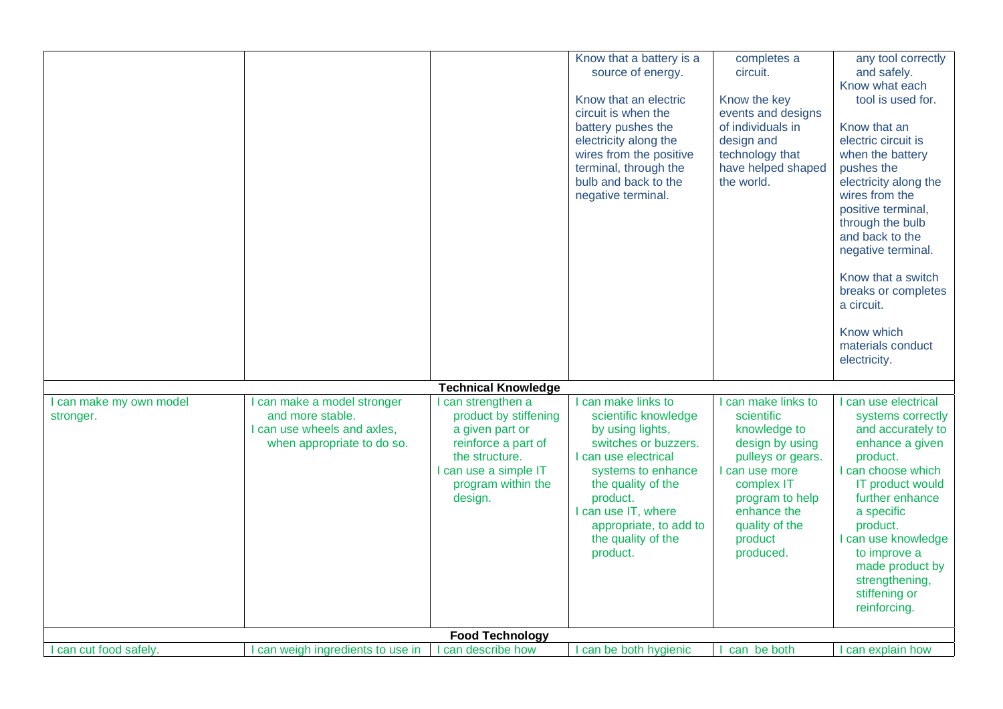|                                      |                                                                              |                                                                                                 | Know that a battery is a<br>source of energy.<br>Know that an electric<br>circuit is when the<br>battery pushes the<br>electricity along the<br>wires from the positive<br>terminal, through the<br>bulb and back to the<br>negative terminal. | completes a<br>circuit.<br>Know the key<br>events and designs<br>of individuals in<br>design and<br>technology that<br>have helped shaped<br>the world. | any tool correctly<br>and safely.<br>Know what each<br>tool is used for.<br>Know that an<br>electric circuit is<br>when the battery<br>pushes the<br>electricity along the<br>wires from the<br>positive terminal,<br>through the bulb<br>and back to the<br>negative terminal.<br>Know that a switch<br>breaks or completes<br>a circuit.<br>Know which<br>materials conduct |
|--------------------------------------|------------------------------------------------------------------------------|-------------------------------------------------------------------------------------------------|------------------------------------------------------------------------------------------------------------------------------------------------------------------------------------------------------------------------------------------------|---------------------------------------------------------------------------------------------------------------------------------------------------------|-------------------------------------------------------------------------------------------------------------------------------------------------------------------------------------------------------------------------------------------------------------------------------------------------------------------------------------------------------------------------------|
|                                      |                                                                              |                                                                                                 |                                                                                                                                                                                                                                                |                                                                                                                                                         | electricity.                                                                                                                                                                                                                                                                                                                                                                  |
| I can make my own model<br>stronger. | can make a model stronger<br>and more stable.<br>I can use wheels and axles, | <b>Technical Knowledge</b><br>can strengthen a<br>product by stiffening<br>a given part or      | can make links to<br>scientific knowledge<br>by using lights,                                                                                                                                                                                  | can make links to<br>scientific<br>knowledge to                                                                                                         | I can use electrical<br>systems correctly<br>and accurately to                                                                                                                                                                                                                                                                                                                |
|                                      | when appropriate to do so.                                                   | reinforce a part of<br>the structure.<br>I can use a simple IT<br>program within the<br>design. | switches or buzzers.<br>I can use electrical<br>systems to enhance<br>the quality of the<br>product.<br>I can use IT, where<br>appropriate, to add to<br>the quality of the<br>product.                                                        | design by using<br>pulleys or gears.<br>I can use more<br>complex IT<br>program to help<br>enhance the<br>quality of the<br>product<br>produced.        | enhance a given<br>product.<br>I can choose which<br>IT product would<br>further enhance<br>a specific<br>product.<br>I can use knowledge<br>to improve a<br>made product by<br>strengthening,<br>stiffening or<br>reinforcing.                                                                                                                                               |
|                                      |                                                                              | <b>Food Technology</b>                                                                          |                                                                                                                                                                                                                                                |                                                                                                                                                         |                                                                                                                                                                                                                                                                                                                                                                               |
| I can cut food safely.               | can weigh ingredients to use in                                              | can describe how                                                                                | can be both hygienic                                                                                                                                                                                                                           | can be both                                                                                                                                             | can explain how                                                                                                                                                                                                                                                                                                                                                               |